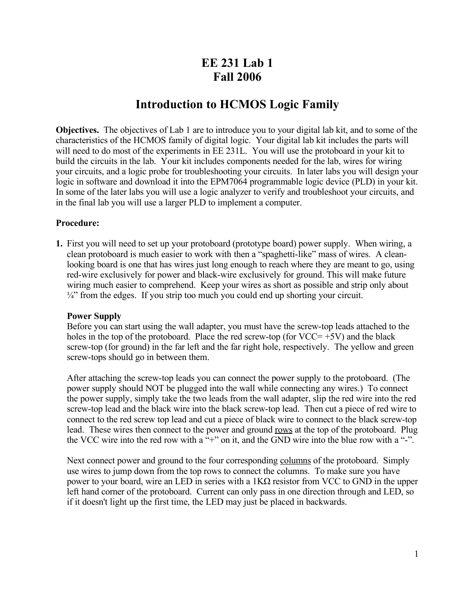## **EE 231 Lab 1 Fall 2006**

## **Introduction to HCMOS Logic Family**

**Objectives.** The objectives of Lab 1 are to introduce you to your digital lab kit, and to some of the characteristics of the HCMOS family of digital logic. Your digital lab kit includes the parts will will need to do most of the experiments in EE 231L. You will use the protoboard in your kit to build the circuits in the lab. Your kit includes components needed for the lab, wires for wiring your circuits, and a logic probe for troubleshooting your circuits. In later labs you will design your logic in software and download it into the EPM7064 programmable logic device (PLD) in your kit. In some of the later labs you will use a logic analyzer to verify and troubleshoot your circuits, and in the final lab you will use a larger PLD to implement a computer.

## **Procedure:**

**1.** First you will need to set up your protoboard (prototype board) power supply. When wiring, a clean protoboard is much easier to work with then a "spaghetti-like" mass of wires. A cleanlooking board is one that has wires just long enough to reach where they are meant to go, using red-wire exclusively for power and black-wire exclusively for ground. This will make future wiring much easier to comprehend. Keep your wires as short as possible and strip only about  $\frac{1}{4}$ " from the edges. If you strip too much you could end up shorting your circuit.

## **Power Supply**

Before you can start using the wall adapter, you must have the screw-top leads attached to the holes in the top of the protoboard. Place the red screw-top (for  $VCC=+5V$ ) and the black screw-top (for ground) in the far left and the far right hole, respectively. The yellow and green screw-tops should go in between them.

After attaching the screw-top leads you can connect the power supply to the protoboard. (The power supply should NOT be plugged into the wall while connecting any wires.) To connect the power supply, simply take the two leads from the wall adapter, slip the red wire into the red screw-top lead and the black wire into the black screw-top lead. Then cut a piece of red wire to connect to the red screw top lead and cut a piece of black wire to connect to the black screw-top lead. These wires then connect to the power and ground rows at the top of the protoboard. Plug the VCC wire into the red row with a "+" on it, and the GND wire into the blue row with a "-".

Next connect power and ground to the four corresponding columns of the protoboard. Simply use wires to jump down from the top rows to connect the columns. To make sure you have power to your board, wire an LED in series with a 1KΩ resistor from VCC to GND in the upper left hand corner of the protoboard. Current can only pass in one direction through and LED, so if it doesn't light up the first time, the LED may just be placed in backwards.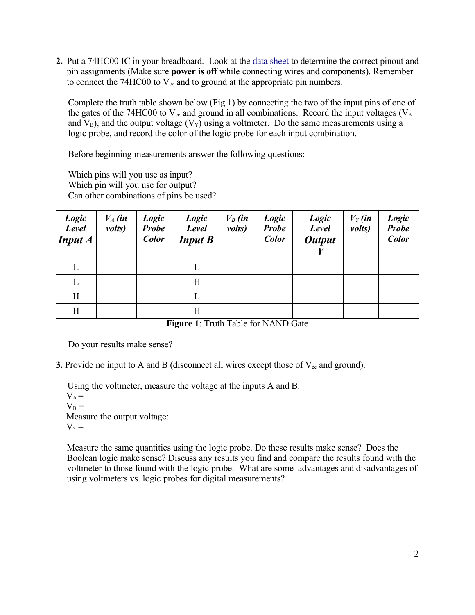**2.** Put a 74HC00 IC in your breadboard. Look at the data [sheet](http://focus.ti.com/lit/ds/symlink/sn74hc00.pdf) to determine the correct pinout and pin assignments (Make sure **power is off** while connecting wires and components). Remember to connect the 74HC00 to  $V_{cc}$  and to ground at the appropriate pin numbers.

Complete the truth table shown below (Fig 1) by connecting the two of the input pins of one of the gates of the 74HC00 to  $V_{cc}$  and ground in all combinations. Record the input voltages ( $V_A$ and  $V_B$ ), and the output voltage ( $V_Y$ ) using a voltmeter. Do the same measurements using a logic probe, and record the color of the logic probe for each input combination.

Before beginning measurements answer the following questions:

Which pins will you use as input? Which pin will you use for output? Can other combinations of pins be used?

| Logic<br>Level<br><b>Input A</b> | $V_A$ (in<br>volts) | Logic<br><b>Probe</b><br><b>Color</b> | Logic<br><b>Level</b><br><b>Input B</b> | $V_B$ (in<br>volts) | Logic<br><b>Probe</b><br><b>Color</b> | Logic<br>Level<br><b>Output</b> | $V_Y$ (in<br>volts) | Logic<br><b>Probe</b><br><b>Color</b> |
|----------------------------------|---------------------|---------------------------------------|-----------------------------------------|---------------------|---------------------------------------|---------------------------------|---------------------|---------------------------------------|
| L                                |                     |                                       | L                                       |                     |                                       |                                 |                     |                                       |
| L                                |                     |                                       | H                                       |                     |                                       |                                 |                     |                                       |
| H                                |                     |                                       | L                                       |                     |                                       |                                 |                     |                                       |
| $\mathbf H$                      |                     |                                       | Η                                       |                     |                                       |                                 |                     |                                       |

**Figure 1**: Truth Table for NAND Gate

Do your results make sense?

**3.** Provide no input to A and B (disconnect all wires except those of  $V_{cc}$  and ground).

Using the voltmeter, measure the voltage at the inputs A and B:  $V_A =$  $V_{\rm B} =$ Measure the output voltage:  $V_Y =$ 

Measure the same quantities using the logic probe. Do these results make sense? Does the Boolean logic make sense? Discuss any results you find and compare the results found with the voltmeter to those found with the logic probe. What are some advantages and disadvantages of using voltmeters vs. logic probes for digital measurements?